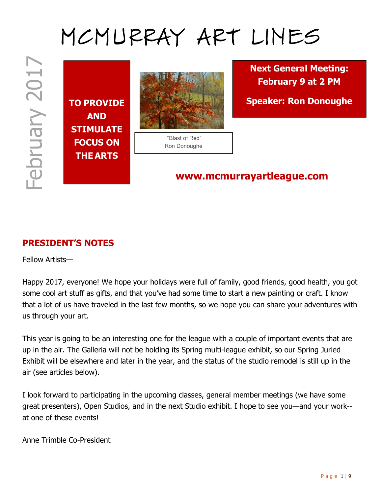# MCMURRAY ART LINES

TO PROVIDE<br>
TO PROVIDE<br>
STIMULATE<br>
FOCUS ON<br>
THE ARTS TO PROVIDE AND STIMULATE FOCUS ON THE ARTS



 "Blast of Red" Ron Donoughe Next General Meeting: February 9 at 2 PM

Speaker: Ron Donoughe

www.mcmurrayartleague.com

# PRESIDENT'S NOTES

Fellow Artists—

Happy 2017, everyone! We hope your holidays were full of family, good friends, good health, you got some cool art stuff as gifts, and that you've had some time to start a new painting or craft. I know that a lot of us have traveled in the last few months, so we hope you can share your adventures with us through your art.

This year is going to be an interesting one for the league with a couple of important events that are up in the air. The Galleria will not be holding its Spring multi-league exhibit, so our Spring Juried Exhibit will be elsewhere and later in the year, and the status of the studio remodel is still up in the air (see articles below).

I look forward to participating in the upcoming classes, general member meetings (we have some great presenters), Open Studios, and in the next Studio exhibit. I hope to see you—and your work- at one of these events!

Anne Trimble Co-President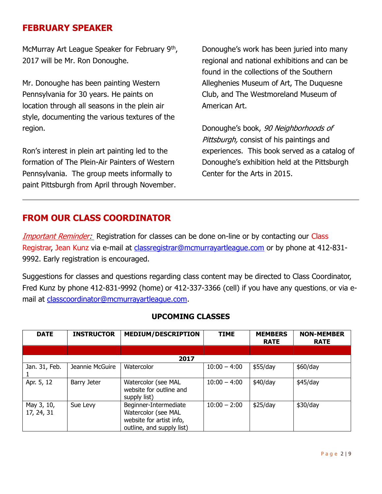# FEBRUARY SPEAKER

McMurray Art League Speaker for February 9<sup>th</sup>, 2017 will be Mr. Ron Donoughe.

Mr. Donoughe has been painting Western Pennsylvania for 30 years. He paints on location through all seasons in the plein air style, documenting the various textures of the region.

Ron's interest in plein art painting led to the formation of The Plein-Air Painters of Western Pennsylvania. The group meets informally to paint Pittsburgh from April through November.

Donoughe's work has been juried into many regional and national exhibitions and can be found in the collections of the Southern Alleghenies Museum of Art, The Duquesne Club, and The Westmoreland Museum of American Art.

Donoughe's book, 90 Neighborhoods of Pittsburgh, consist of his paintings and experiences. This book served as a catalog of Donoughe's exhibition held at the Pittsburgh Center for the Arts in 2015.

# FROM OUR CLASS COORDINATOR

Important Reminder: Registration for classes can be done on-line or by contacting our Class Registrar, Jean Kunz via e-mail at classregistrar@mcmurrayartleague.com or by phone at 412-831- 9992. Early registration is encouraged.

Suggestions for classes and questions regarding class content may be directed to Class Coordinator, Fred Kunz by phone 412-831-9992 (home) or 412-337-3366 (cell) if you have any questions, or via email at classcoordinator@mcmurrayartleague.com.

| <b>DATE</b>              | <b>INSTRUCTOR</b> | <b>MEDIUM/DESCRIPTION</b>                                                                             | <b>TIME</b>    | <b>MEMBERS</b><br><b>RATE</b> | <b>NON-MEMBER</b><br><b>RATE</b> |
|--------------------------|-------------------|-------------------------------------------------------------------------------------------------------|----------------|-------------------------------|----------------------------------|
|                          |                   |                                                                                                       |                |                               |                                  |
| 2017                     |                   |                                                                                                       |                |                               |                                  |
| Jan. 31, Feb.            | Jeannie McGuire   | Watercolor                                                                                            | $10:00 - 4:00$ | \$55/day                      | \$60/day                         |
| Apr. 5, 12               | Barry Jeter       | Watercolor (see MAL<br>website for outline and<br>supply list)                                        | $10:00 - 4:00$ | \$40/day                      | \$45/day                         |
| May 3, 10,<br>17, 24, 31 | Sue Levy          | Beginner-Intermediate<br>Watercolor (see MAL<br>website for artist info,<br>outline, and supply list) | $10:00 - 2:00$ | \$25/day                      | \$30/day                         |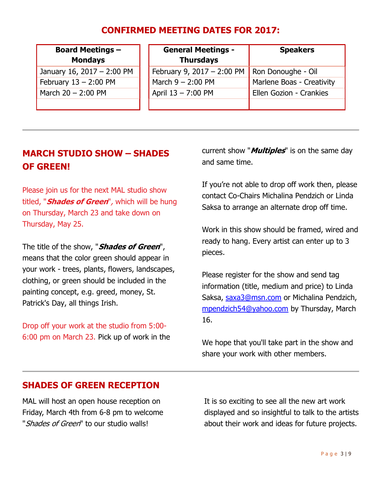# CONFIRMED MEETING DATES FOR 2017:

| <b>Board Meetings -</b><br><b>Mondays</b> | <b>General Meetings -</b><br><b>Thursdays</b> | <b>Speakers</b>           |
|-------------------------------------------|-----------------------------------------------|---------------------------|
| January 16, 2017 - 2:00 PM                | February 9, $2017 - 2:00$ PM                  | Ron Donoughe - Oil        |
| February $13 - 2:00$ PM                   | March $9 - 2:00$ PM                           | Marlene Boas - Creativity |
| March $20 - 2:00$ PM                      | April 13 - 7:00 PM                            | Ellen Gozion - Crankies   |
|                                           |                                               |                           |

# MARCH STUDIO SHOW – SHADES OF GREEN!

Please join us for the next MAL studio show titled, "*Shades of Green*", which will be hung on Thursday, March 23 and take down on Thursday, May 25.

The title of the show, "**Shades of Green**", means that the color green should appear in your work - trees, plants, flowers, landscapes, clothing, or green should be included in the painting concept, e.g. greed, money, St. Patrick's Day, all things Irish.

Drop off your work at the studio from 5:00- 6:00 pm on March 23. Pick up of work in the current show "*Multiples*" is on the same day and same time.

If you're not able to drop off work then, please contact Co-Chairs Michalina Pendzich or Linda Saksa to arrange an alternate drop off time.

Work in this show should be framed, wired and ready to hang. Every artist can enter up to 3 pieces.

Please register for the show and send tag information (title, medium and price) to Linda Saksa, saxa3@msn.com or Michalina Pendzich, mpendzich54@yahoo.com by Thursday, March 16.

We hope that you'll take part in the show and share your work with other members.

# SHADES OF GREEN RECEPTION

MAL will host an open house reception on Friday, March 4th from 6-8 pm to welcome "*Shades of Green*" to our studio walls!

It is so exciting to see all the new art work displayed and so insightful to talk to the artists about their work and ideas for future projects.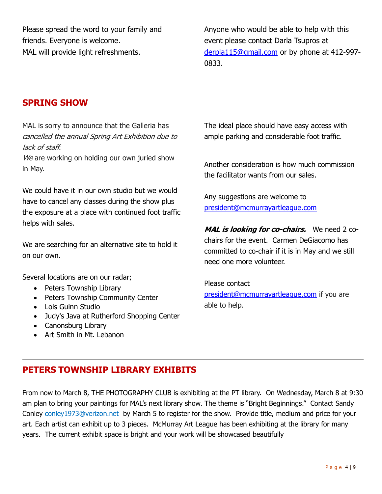Please spread the word to your family and friends. Everyone is welcome. MAL will provide light refreshments.

Anyone who would be able to help with this event please contact Darla Tsupros at derpla115@gmail.com or by phone at 412-997- 0833.

# SPRING SHOW

MAL is sorry to announce that the Galleria has cancelled the annual Spring Art Exhibition due to lack of staff.

We are working on holding our own juried show in May.

We could have it in our own studio but we would have to cancel any classes during the show plus the exposure at a place with continued foot traffic helps with sales.

We are searching for an alternative site to hold it on our own.

Several locations are on our radar;

- Peters Township Library
- Peters Township Community Center
- Lois Guinn Studio
- Judy's Java at Rutherford Shopping Center
- Canonsburg Library
- Art Smith in Mt. Lebanon

The ideal place should have easy access with ample parking and considerable foot traffic.

Another consideration is how much commission the facilitator wants from our sales.

Any suggestions are welcome to president@mcmurrayartleague.com

MAL is looking for co-chairs. We need 2 cochairs for the event. Carmen DeGiacomo has committed to co-chair if it is in May and we still need one more volunteer.

Please contact president@mcmurrayartleague.com if you are able to help.

# PETERS TOWNSHIP LIBRARY EXHIBITS

From now to March 8, THE PHOTOGRAPHY CLUB is exhibiting at the PT library. On Wednesday, March 8 at 9:30 am plan to bring your paintings for MAL's next library show. The theme is "Bright Beginnings." Contact Sandy Conley conley1973@verizon.net by March 5 to register for the show. Provide title, medium and price for your art. Each artist can exhibit up to 3 pieces. McMurray Art League has been exhibiting at the library for many years. The current exhibit space is bright and your work will be showcased beautifully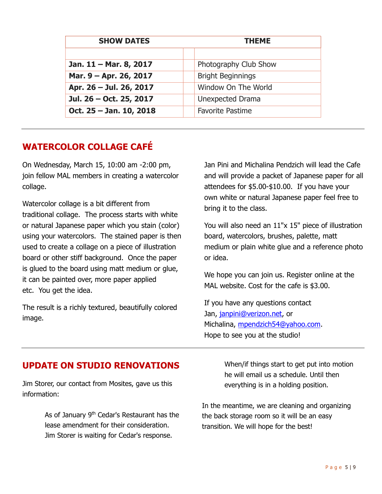| <b>SHOW DATES</b>       | <b>THEME</b>             |  |  |
|-------------------------|--------------------------|--|--|
|                         |                          |  |  |
| Jan. 11 - Mar. 8, 2017  | Photography Club Show    |  |  |
| Mar. 9 – Apr. 26, 2017  | <b>Bright Beginnings</b> |  |  |
| Apr. 26 - Jul. 26, 2017 | Window On The World      |  |  |
| Jul. 26 - Oct. 25, 2017 | <b>Unexpected Drama</b>  |  |  |
| Oct. 25 - Jan. 10, 2018 | <b>Favorite Pastime</b>  |  |  |

# WATERCOLOR COLLAGE CAFÉ

On Wednesday, March 15, 10:00 am -2:00 pm, join fellow MAL members in creating a watercolor collage.

Watercolor collage is a bit different from traditional collage. The process starts with white or natural Japanese paper which you stain (color) using your watercolors. The stained paper is then used to create a collage on a piece of illustration board or other stiff background. Once the paper is glued to the board using matt medium or glue, it can be painted over, more paper applied etc. You get the idea.

The result is a richly textured, beautifully colored image.

Jan Pini and Michalina Pendzich will lead the Cafe and will provide a packet of Japanese paper for all attendees for \$5.00-\$10.00. If you have your own white or natural Japanese paper feel free to bring it to the class.

You will also need an 11"x 15" piece of illustration board, watercolors, brushes, palette, matt medium or plain white glue and a reference photo or idea.

We hope you can join us. Register online at the MAL website. Cost for the cafe is \$3.00.

If you have any questions contact Jan, janpini@verizon.net, or Michalina, mpendzich54@yahoo.com. Hope to see you at the studio!

## UPDATE ON STUDIO RENOVATIONS

Jim Storer, our contact from Mosites, gave us this information:

> As of January 9<sup>th</sup> Cedar's Restaurant has the lease amendment for their consideration. Jim Storer is waiting for Cedar's response.

When/if things start to get put into motion he will email us a schedule. Until then everything is in a holding position.

In the meantime, we are cleaning and organizing the back storage room so it will be an easy transition. We will hope for the best!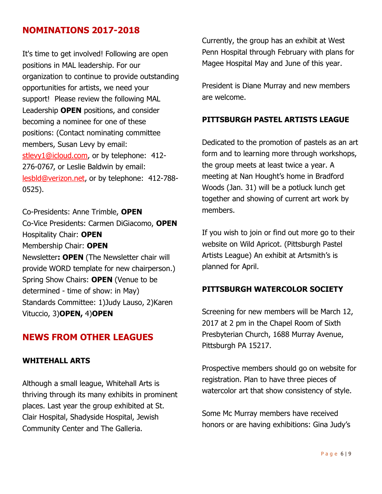### NOMINATIONS 2017-2018

It's time to get involved! Following are open positions in MAL leadership. For our organization to continue to provide outstanding opportunities for artists, we need your support! Please review the following MAL Leadership **OPEN** positions, and consider becoming a nominee for one of these positions: (Contact nominating committee members, Susan Levy by email: stlevy1@icloud.com, or by telephone: 412-276-0767, or Leslie Baldwin by email: lesbld@verizon.net, or by telephone: 412-788- 0525).

Co-Presidents: Anne Trimble, OPEN Co-Vice Presidents: Carmen DiGiacomo, OPEN Hospitality Chair: OPEN Membership Chair: OPEN Newsletter: OPEN (The Newsletter chair will provide WORD template for new chairperson.) Spring Show Chairs: **OPEN** (Venue to be determined - time of show: in May) Standards Committee: 1)Judy Lauso, 2)Karen Vituccio, 3)OPEN, 4)OPEN

#### NEWS FROM OTHER LEAGUES

#### WHITEHALL ARTS

Although a small league, Whitehall Arts is thriving through its many exhibits in prominent places. Last year the group exhibited at St. Clair Hospital, Shadyside Hospital, Jewish Community Center and The Galleria.

Currently, the group has an exhibit at West Penn Hospital through February with plans for Magee Hospital May and June of this year.

President is Diane Murray and new members are welcome.

#### PITTSBURGH PASTEL ARTISTS LEAGUE

Dedicated to the promotion of pastels as an art form and to learning more through workshops, the group meets at least twice a year. A meeting at Nan Hought's home in Bradford Woods (Jan. 31) will be a potluck lunch get together and showing of current art work by members.

If you wish to join or find out more go to their website on Wild Apricot. (Pittsburgh Pastel Artists League) An exhibit at Artsmith's is planned for April.

#### PITTSBURGH WATERCOLOR SOCIETY

Screening for new members will be March 12, 2017 at 2 pm in the Chapel Room of Sixth Presbyterian Church, 1688 Murray Avenue, Pittsburgh PA 15217.

Prospective members should go on website for registration. Plan to have three pieces of watercolor art that show consistency of style.

Some Mc Murray members have received honors or are having exhibitions: Gina Judy's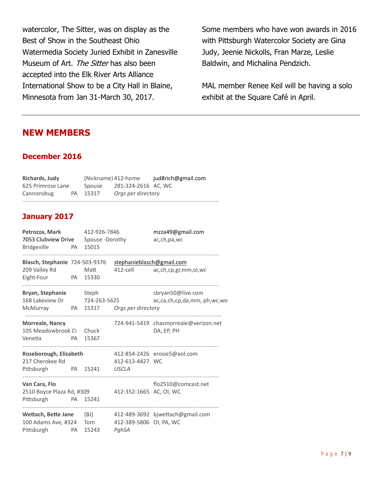watercolor, The Sitter, was on display as the Best of Show in the Southeast Ohio Watermedia Society Juried Exhibit in Zanesville Museum of Art. The Sitter has also been accepted into the Elk River Arts Alliance International Show to be a City Hall in Blaine, Minnesota from Jan 31-March 30, 2017.

Some members who have won awards in 2016 with Pittsburgh Watercolor Society are Gina Judy, Jeenie Nickolls, Fran Marze, Leslie Baldwin, and Michalina Pendzich.

MAL member Renee Keil will be having a solo exhibit at the Square Café in April.

#### NEW MEMBERS

#### December 2016

| <b>Richards, Judy</b> |    | (Nickname) 412-home |                     | jud8rich@gmail.com |
|-----------------------|----|---------------------|---------------------|--------------------|
| 625 Primrose Lane     |    | Spouse              | 281-324-2616 AC, WC |                    |
| Cannonsbug            | PA | 15317               | Orgs per directory  |                    |
|                       |    |                     |                     |                    |

#### January 2017

| Petrozza, Mark<br>7053 Clubview Drive Spouse - Dorothy<br>Bridgeville             |    | 412-926-7846<br>PA 15015 |                                  | mzza49@gmail.com<br>ac,ch,pa,wc                     |
|-----------------------------------------------------------------------------------|----|--------------------------|----------------------------------|-----------------------------------------------------|
| Blasch, Stephanie 724-503-9376 stephanieblasch@gmail.com                          |    |                          |                                  |                                                     |
| 209 Valley Rd<br>Eight-Four                                                       |    | Matt<br>PA 15330         | 412-cell                         | ac,ch,cp,gr,mm,oi,wc                                |
| Bryan, Stephanie Steph<br>168 Lakeview Dr<br>McMurray PA 15317 Orgs per directory |    | 724-263-5625             |                                  | sbryan50@live.com<br>ac,ca,ch,cp,da,mm, ph,wc,wo    |
| <b>Morreale, Nancy</b><br>105 Meadowbrook Ci Chuck<br>Venetia                     | PA | 15367                    |                                  | 724-941-5419 chasmorreale@verizon.net<br>DA, EP, PH |
| Roseborough, Elizabeth<br>217 Cherokee Rd<br>Pittsburgh PA 15241 USCLA            |    |                          | 412-613-4427 WC                  | 412-854-2426 erosie5@aol.com                        |
| Van Cara, Flo<br>2510 Boyce Plaza Rd, #309<br>Pittsburgh<br><b>PA</b>             |    | 15241                    | 412-352-1665 AC, OI, WC          | flo2510@comcast.net                                 |
| <b>Wettach, Bette Jane</b> (BJ)<br>100 Adams Ave, #324 Tom<br>Pittsburgh          | PA | 15243                    | 412-389-5806 OI, PA, WC<br>PghSA | 412-489-3692 bjwettach@gmail.com                    |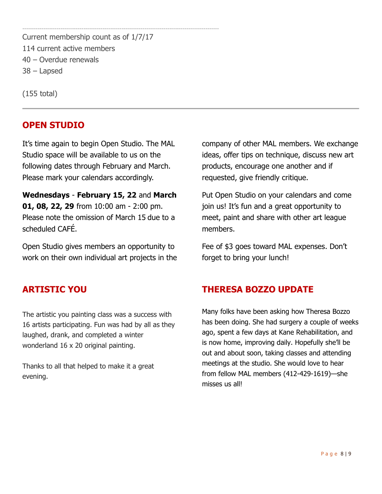------------------------------------------------------------------------------------------------------- Current membership count as of 1/7/17 114 current active members 40 – Overdue renewals 38 – Lapsed

(155 total)

# OPEN STUDIO

It's time again to begin Open Studio. The MAL Studio space will be available to us on the following dates through February and March. Please mark your calendars accordingly.

Wednesdays - February 15, 22 and March 01, 08, 22, 29 from 10:00 am - 2:00 pm. Please note the omission of March 15 due to a scheduled CAFÉ.

Open Studio gives members an opportunity to work on their own individual art projects in the

# ARTISTIC YOU

The artistic you painting class was a success with 16 artists participating. Fun was had by all as they laughed, drank, and completed a winter wonderland 16 x 20 original painting.

Thanks to all that helped to make it a great evening.

company of other MAL members. We exchange ideas, offer tips on technique, discuss new art products, encourage one another and if requested, give friendly critique.

Put Open Studio on your calendars and come join us! It's fun and a great opportunity to meet, paint and share with other art league members.

Fee of \$3 goes toward MAL expenses. Don't forget to bring your lunch!

# THERESA BOZZO UPDATE

Many folks have been asking how Theresa Bozzo has been doing. She had surgery a couple of weeks ago, spent a few days at Kane Rehabilitation, and is now home, improving daily. Hopefully she'll be out and about soon, taking classes and attending meetings at the studio. She would love to hear from fellow MAL members (412-429-1619)—she misses us all!